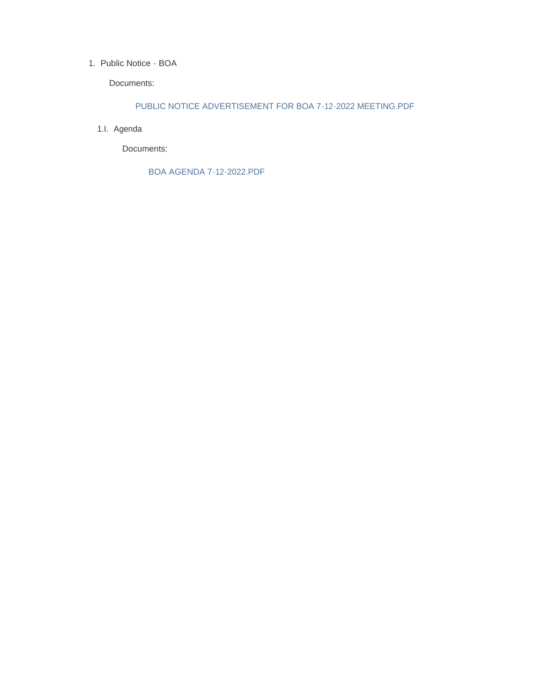#### 1. Public Notice - BOA

Documents:

### PUBLIC NOTICE ADVERTISEMENT FOR BOA 7-12-2022 MEETING.PDF

1.I. Agenda

Documents:

BOA AGENDA 7-12-2022.PDF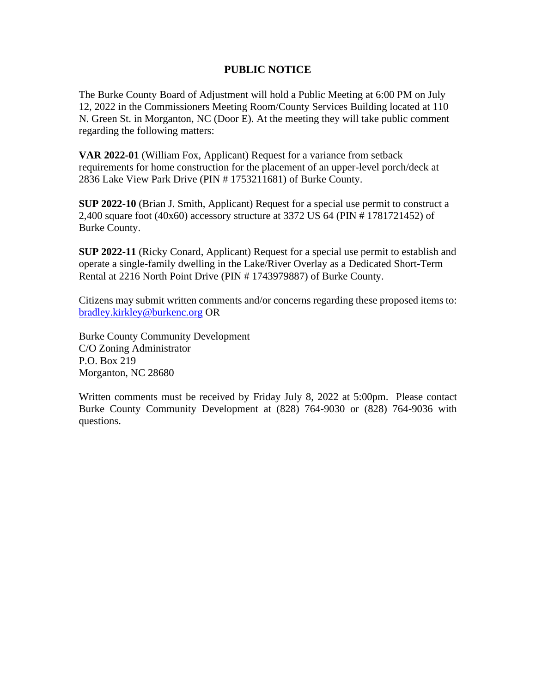## **PUBLIC NOTICE**

The Burke County Board of Adjustment will hold a Public Meeting at 6:00 PM on July 12, 2022 in the Commissioners Meeting Room/County Services Building located at 110 N. Green St. in Morganton, NC (Door E). At the meeting they will take public comment regarding the following matters:

**VAR 2022-01** (William Fox, Applicant) Request for a variance from setback requirements for home construction for the placement of an upper-level porch/deck at 2836 Lake View Park Drive (PIN # 1753211681) of Burke County.

**SUP 2022-10** (Brian J. Smith, Applicant) Request for a special use permit to construct a 2,400 square foot (40x60) accessory structure at 3372 US 64 (PIN # 1781721452) of Burke County.

**SUP 2022-11** (Ricky Conard, Applicant) Request for a special use permit to establish and operate a single-family dwelling in the Lake/River Overlay as a Dedicated Short-Term Rental at 2216 North Point Drive (PIN # 1743979887) of Burke County.

Citizens may submit written comments and/or concerns regarding these proposed items to: [bradley.kirkley@burkenc.org](mailto:bradley.kirkley@burkenc.org) OR

Burke County Community Development C/O Zoning Administrator P.O. Box 219 Morganton, NC 28680

Written comments must be received by Friday July 8, 2022 at 5:00pm. Please contact Burke County Community Development at (828) 764-9030 or (828) 764-9036 with questions.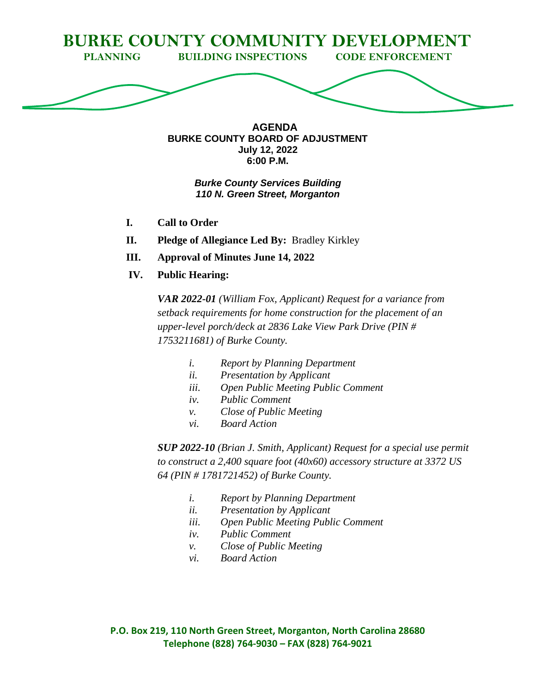

**AGENDA BURKE COUNTY BOARD OF ADJUSTMENT July 12, 2022 6:00 P.M.**

## *Burke County Services Building 110 N. Green Street, Morganton*

- **I. Call to Order**
- **II. Pledge of Allegiance Led By:** Bradley Kirkley
- **III. Approval of Minutes June 14, 2022**
- **IV. Public Hearing:**

*VAR 2022-01 (William Fox, Applicant) Request for a variance from setback requirements for home construction for the placement of an upper-level porch/deck at 2836 Lake View Park Drive (PIN # 1753211681) of Burke County.*

- *i. Report by Planning Department*
- *ii. Presentation by Applicant*
- *iii. Open Public Meeting Public Comment*
- *iv. Public Comment*
- *v. Close of Public Meeting*
- *vi. Board Action*

*SUP 2022-10 (Brian J. Smith, Applicant) Request for a special use permit to construct a 2,400 square foot (40x60) accessory structure at 3372 US 64 (PIN # 1781721452) of Burke County.*

- *i. Report by Planning Department*
- *ii. Presentation by Applicant*
- *iii. Open Public Meeting Public Comment*
- *iv. Public Comment*
- *v. Close of Public Meeting*
- *vi. Board Action*

**P.O. Box 219, 110 North Green Street, Morganton, North Carolina 28680 Telephone (828) 764-9030 – FAX (828) 764-9021**